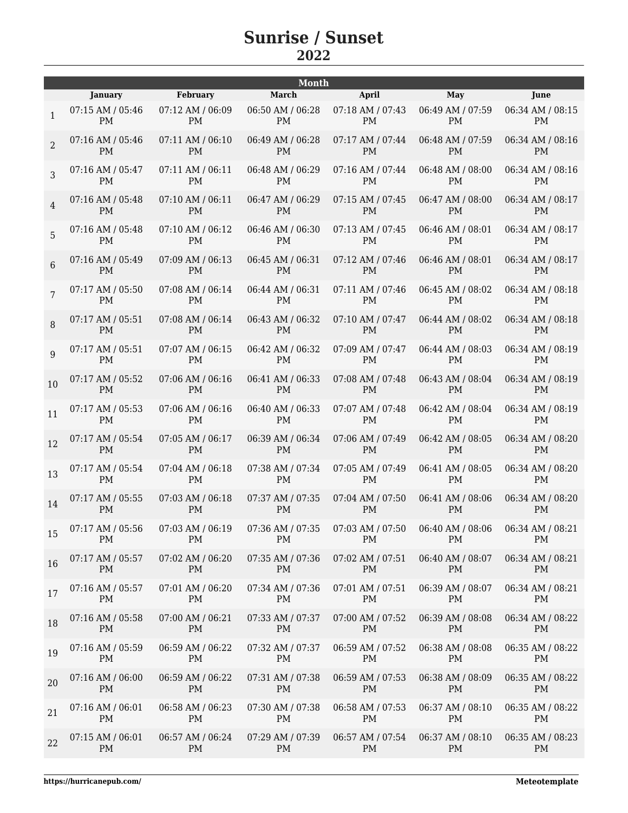| February<br><b>January</b><br>07:12 AM / 06:09<br>07:15 AM / 05:46<br>$\mathbf{1}$<br>PM<br>PM<br>07:16 AM / 05:46<br>$07:11$ AM $/ 06:10$<br>$\overline{2}$<br><b>PM</b><br><b>PM</b><br>07:16 AM / 05:47<br>07:11 AM / 06:11<br>3<br><b>PM</b><br><b>PM</b><br>07:16 AM / 05:48<br>07:10 AM / 06:11<br>$\overline{4}$<br><b>PM</b><br><b>PM</b><br>07:16 AM / 05:48<br>$07:10$ AM / $06:12$<br>5<br><b>PM</b><br><b>PM</b><br>07:09 AM / 06:13<br>07:16 AM / 05:49<br>6<br><b>PM</b><br><b>PM</b><br>07:17 AM / 05:50<br>07:08 AM / 06:14<br>7<br><b>PM</b><br><b>PM</b><br>$07:08$ AM / $06:14$<br>$07:17$ AM / $05:51$<br>8<br><b>PM</b><br><b>PM</b><br>07:17 AM / 05:51<br>07:07 AM / 06:15<br>9<br><b>PM</b><br><b>PM</b><br>07:06 AM / 06:16<br>07:17 AM / 05:52<br>10<br><b>PM</b><br><b>PM</b><br>07:06 AM / 06:16<br>07:17 AM / 05:53<br>11<br><b>PM</b><br><b>PM</b><br>07:17 AM / 05:54<br>07:05 AM / 06:17<br>12<br>PM<br><b>PM</b><br>07:17 AM / 05:54<br>07:04 AM / 06:18<br>13<br><b>PM</b><br><b>PM</b><br>07:17 AM / 05:55<br>07:03 AM / 06:18<br>14<br><b>PM</b><br><b>PM</b><br>07:03 AM / 06:19<br>07:17 AM / 05:56<br>15<br>PM<br>PM<br>07:02 AM / 06:20<br>07:17 AM / 05:57<br>16 | <b>March</b><br>06:50 AM / 06:28<br>PM<br>06:49 AM / 06:28<br><b>PM</b><br>06:48 AM / 06:29<br><b>PM</b><br>06:47 AM / 06:29<br><b>PM</b><br>06:46 AM / 06:30<br>PM<br>06:45 AM / 06:31<br><b>PM</b><br>06:44 AM / 06:31<br><b>PM</b><br>06:43 AM / 06:32<br><b>PM</b><br>06:42 AM / 06:32<br><b>PM</b><br>06:41 AM / 06:33<br><b>PM</b><br>06:40 AM / 06:33<br><b>PM</b> | April<br>07:18 AM / 07:43<br>PM<br>07:17 AM / 07:44<br><b>PM</b><br>07:16 AM / 07:44<br><b>PM</b><br>07:15 AM / 07:45<br><b>PM</b><br>07:13 AM / 07:45<br><b>PM</b><br>07:12 AM / 07:46<br><b>PM</b><br>07:11 AM / 07:46<br><b>PM</b><br>07:10 AM / 07:47<br><b>PM</b><br>07:09 AM / 07:47<br><b>PM</b><br>07:08 AM / 07:48<br><b>PM</b><br>07:07 AM / 07:48<br><b>PM</b> | May<br>06:49 AM / 07:59<br>PM<br>06:48 AM / 07:59<br><b>PM</b><br>06:48 AM / 08:00<br><b>PM</b><br>06:47 AM / 08:00<br><b>PM</b><br>06:46 AM / 08:01<br><b>PM</b><br>06:46 AM / 08:01<br><b>PM</b><br>06:45 AM / 08:02<br><b>PM</b><br>06:44 AM / 08:02<br><b>PM</b><br>06:44 AM / 08:03<br><b>PM</b><br>06:43 AM / 08:04<br><b>PM</b><br>06:42 AM / 08:04 | June<br>06:34 AM / 08:15<br><b>PM</b><br>06:34 AM / 08:16<br><b>PM</b><br>06:34 AM / 08:16<br><b>PM</b><br>06:34 AM / 08:17<br><b>PM</b><br>06:34 AM / 08:17<br><b>PM</b><br>06:34 AM / 08:17<br><b>PM</b><br>06:34 AM / 08:18<br>PM<br>06:34 AM / 08:18<br><b>PM</b><br>06:34 AM / 08:19<br>PM<br>06:34 AM / 08:19<br><b>PM</b><br>06:34 AM / 08:19<br>PM |
|-----------------------------------------------------------------------------------------------------------------------------------------------------------------------------------------------------------------------------------------------------------------------------------------------------------------------------------------------------------------------------------------------------------------------------------------------------------------------------------------------------------------------------------------------------------------------------------------------------------------------------------------------------------------------------------------------------------------------------------------------------------------------------------------------------------------------------------------------------------------------------------------------------------------------------------------------------------------------------------------------------------------------------------------------------------------------------------------------------------------------------------------------------------------------------------------------------------|---------------------------------------------------------------------------------------------------------------------------------------------------------------------------------------------------------------------------------------------------------------------------------------------------------------------------------------------------------------------------|---------------------------------------------------------------------------------------------------------------------------------------------------------------------------------------------------------------------------------------------------------------------------------------------------------------------------------------------------------------------------|------------------------------------------------------------------------------------------------------------------------------------------------------------------------------------------------------------------------------------------------------------------------------------------------------------------------------------------------------------|------------------------------------------------------------------------------------------------------------------------------------------------------------------------------------------------------------------------------------------------------------------------------------------------------------------------------------------------------------|
|                                                                                                                                                                                                                                                                                                                                                                                                                                                                                                                                                                                                                                                                                                                                                                                                                                                                                                                                                                                                                                                                                                                                                                                                           |                                                                                                                                                                                                                                                                                                                                                                           |                                                                                                                                                                                                                                                                                                                                                                           |                                                                                                                                                                                                                                                                                                                                                            |                                                                                                                                                                                                                                                                                                                                                            |
|                                                                                                                                                                                                                                                                                                                                                                                                                                                                                                                                                                                                                                                                                                                                                                                                                                                                                                                                                                                                                                                                                                                                                                                                           |                                                                                                                                                                                                                                                                                                                                                                           |                                                                                                                                                                                                                                                                                                                                                                           |                                                                                                                                                                                                                                                                                                                                                            |                                                                                                                                                                                                                                                                                                                                                            |
|                                                                                                                                                                                                                                                                                                                                                                                                                                                                                                                                                                                                                                                                                                                                                                                                                                                                                                                                                                                                                                                                                                                                                                                                           |                                                                                                                                                                                                                                                                                                                                                                           |                                                                                                                                                                                                                                                                                                                                                                           |                                                                                                                                                                                                                                                                                                                                                            |                                                                                                                                                                                                                                                                                                                                                            |
|                                                                                                                                                                                                                                                                                                                                                                                                                                                                                                                                                                                                                                                                                                                                                                                                                                                                                                                                                                                                                                                                                                                                                                                                           |                                                                                                                                                                                                                                                                                                                                                                           |                                                                                                                                                                                                                                                                                                                                                                           |                                                                                                                                                                                                                                                                                                                                                            |                                                                                                                                                                                                                                                                                                                                                            |
|                                                                                                                                                                                                                                                                                                                                                                                                                                                                                                                                                                                                                                                                                                                                                                                                                                                                                                                                                                                                                                                                                                                                                                                                           |                                                                                                                                                                                                                                                                                                                                                                           |                                                                                                                                                                                                                                                                                                                                                                           |                                                                                                                                                                                                                                                                                                                                                            |                                                                                                                                                                                                                                                                                                                                                            |
|                                                                                                                                                                                                                                                                                                                                                                                                                                                                                                                                                                                                                                                                                                                                                                                                                                                                                                                                                                                                                                                                                                                                                                                                           |                                                                                                                                                                                                                                                                                                                                                                           |                                                                                                                                                                                                                                                                                                                                                                           |                                                                                                                                                                                                                                                                                                                                                            |                                                                                                                                                                                                                                                                                                                                                            |
|                                                                                                                                                                                                                                                                                                                                                                                                                                                                                                                                                                                                                                                                                                                                                                                                                                                                                                                                                                                                                                                                                                                                                                                                           |                                                                                                                                                                                                                                                                                                                                                                           |                                                                                                                                                                                                                                                                                                                                                                           |                                                                                                                                                                                                                                                                                                                                                            |                                                                                                                                                                                                                                                                                                                                                            |
|                                                                                                                                                                                                                                                                                                                                                                                                                                                                                                                                                                                                                                                                                                                                                                                                                                                                                                                                                                                                                                                                                                                                                                                                           |                                                                                                                                                                                                                                                                                                                                                                           |                                                                                                                                                                                                                                                                                                                                                                           |                                                                                                                                                                                                                                                                                                                                                            |                                                                                                                                                                                                                                                                                                                                                            |
|                                                                                                                                                                                                                                                                                                                                                                                                                                                                                                                                                                                                                                                                                                                                                                                                                                                                                                                                                                                                                                                                                                                                                                                                           |                                                                                                                                                                                                                                                                                                                                                                           |                                                                                                                                                                                                                                                                                                                                                                           |                                                                                                                                                                                                                                                                                                                                                            |                                                                                                                                                                                                                                                                                                                                                            |
|                                                                                                                                                                                                                                                                                                                                                                                                                                                                                                                                                                                                                                                                                                                                                                                                                                                                                                                                                                                                                                                                                                                                                                                                           |                                                                                                                                                                                                                                                                                                                                                                           |                                                                                                                                                                                                                                                                                                                                                                           |                                                                                                                                                                                                                                                                                                                                                            |                                                                                                                                                                                                                                                                                                                                                            |
|                                                                                                                                                                                                                                                                                                                                                                                                                                                                                                                                                                                                                                                                                                                                                                                                                                                                                                                                                                                                                                                                                                                                                                                                           |                                                                                                                                                                                                                                                                                                                                                                           |                                                                                                                                                                                                                                                                                                                                                                           |                                                                                                                                                                                                                                                                                                                                                            |                                                                                                                                                                                                                                                                                                                                                            |
|                                                                                                                                                                                                                                                                                                                                                                                                                                                                                                                                                                                                                                                                                                                                                                                                                                                                                                                                                                                                                                                                                                                                                                                                           |                                                                                                                                                                                                                                                                                                                                                                           |                                                                                                                                                                                                                                                                                                                                                                           | PM                                                                                                                                                                                                                                                                                                                                                         |                                                                                                                                                                                                                                                                                                                                                            |
|                                                                                                                                                                                                                                                                                                                                                                                                                                                                                                                                                                                                                                                                                                                                                                                                                                                                                                                                                                                                                                                                                                                                                                                                           | 06:39 AM / 06:34<br><b>PM</b>                                                                                                                                                                                                                                                                                                                                             | 07:06 AM / 07:49<br><b>PM</b>                                                                                                                                                                                                                                                                                                                                             | 06:42 AM / 08:05<br>PM                                                                                                                                                                                                                                                                                                                                     | 06:34 AM / 08:20<br><b>PM</b>                                                                                                                                                                                                                                                                                                                              |
|                                                                                                                                                                                                                                                                                                                                                                                                                                                                                                                                                                                                                                                                                                                                                                                                                                                                                                                                                                                                                                                                                                                                                                                                           | 07:38 AM / 07:34<br><b>PM</b>                                                                                                                                                                                                                                                                                                                                             | 07:05 AM / 07:49<br><b>PM</b>                                                                                                                                                                                                                                                                                                                                             | 06:41 AM / 08:05<br><b>PM</b>                                                                                                                                                                                                                                                                                                                              | 06:34 AM / 08:20<br>PM                                                                                                                                                                                                                                                                                                                                     |
|                                                                                                                                                                                                                                                                                                                                                                                                                                                                                                                                                                                                                                                                                                                                                                                                                                                                                                                                                                                                                                                                                                                                                                                                           | 07:37 AM / 07:35<br><b>PM</b>                                                                                                                                                                                                                                                                                                                                             | 07:04 AM / 07:50<br><b>PM</b>                                                                                                                                                                                                                                                                                                                                             | 06:41 AM / 08:06<br><b>PM</b>                                                                                                                                                                                                                                                                                                                              | 06:34 AM / 08:20<br><b>PM</b>                                                                                                                                                                                                                                                                                                                              |
|                                                                                                                                                                                                                                                                                                                                                                                                                                                                                                                                                                                                                                                                                                                                                                                                                                                                                                                                                                                                                                                                                                                                                                                                           | 07:36 AM / 07:35   07:03 AM / 07:50<br>PM                                                                                                                                                                                                                                                                                                                                 | PM                                                                                                                                                                                                                                                                                                                                                                        | 06:40 AM / 08:06<br>PM                                                                                                                                                                                                                                                                                                                                     | 06:34 AM / 08:21<br>PM                                                                                                                                                                                                                                                                                                                                     |
| PM<br>PM                                                                                                                                                                                                                                                                                                                                                                                                                                                                                                                                                                                                                                                                                                                                                                                                                                                                                                                                                                                                                                                                                                                                                                                                  | 07:35 AM / 07:36<br>PM                                                                                                                                                                                                                                                                                                                                                    | 07:02 AM / 07:51<br>PM                                                                                                                                                                                                                                                                                                                                                    | 06:40 AM / 08:07<br>PM                                                                                                                                                                                                                                                                                                                                     | 06:34 AM / 08:21<br>PM                                                                                                                                                                                                                                                                                                                                     |
| 07:16 AM / 05:57<br>07:01 AM / 06:20<br>17<br><b>PM</b><br>PM                                                                                                                                                                                                                                                                                                                                                                                                                                                                                                                                                                                                                                                                                                                                                                                                                                                                                                                                                                                                                                                                                                                                             | 07:34 AM / 07:36<br>PM                                                                                                                                                                                                                                                                                                                                                    | 07:01 AM / 07:51<br>PM                                                                                                                                                                                                                                                                                                                                                    | 06:39 AM / 08:07<br>PM                                                                                                                                                                                                                                                                                                                                     | 06:34 AM / 08:21<br>PM                                                                                                                                                                                                                                                                                                                                     |
| 07:16 AM / 05:58<br>07:00 AM / 06:21<br>18<br>PM<br>PM                                                                                                                                                                                                                                                                                                                                                                                                                                                                                                                                                                                                                                                                                                                                                                                                                                                                                                                                                                                                                                                                                                                                                    | 07:33 AM / 07:37<br><b>PM</b>                                                                                                                                                                                                                                                                                                                                             | 07:00 AM / 07:52<br>PM                                                                                                                                                                                                                                                                                                                                                    | 06:39 AM / 08:08<br>PM                                                                                                                                                                                                                                                                                                                                     | 06:34 AM / 08:22<br>PM                                                                                                                                                                                                                                                                                                                                     |
| 07:16 AM / 05:59<br>06:59 AM / 06:22<br>19<br>PM<br>PM                                                                                                                                                                                                                                                                                                                                                                                                                                                                                                                                                                                                                                                                                                                                                                                                                                                                                                                                                                                                                                                                                                                                                    | 07:32 AM / 07:37<br>PM                                                                                                                                                                                                                                                                                                                                                    | 06:59 AM / 07:52<br>PM                                                                                                                                                                                                                                                                                                                                                    | 06:38 AM / 08:08<br>PM                                                                                                                                                                                                                                                                                                                                     | 06:35 AM / 08:22<br>PM                                                                                                                                                                                                                                                                                                                                     |
| 07:16 AM / 06:00<br>06:59 AM / 06:22<br>20<br>PM<br>PM                                                                                                                                                                                                                                                                                                                                                                                                                                                                                                                                                                                                                                                                                                                                                                                                                                                                                                                                                                                                                                                                                                                                                    | 07:31 AM / 07:38<br>PM                                                                                                                                                                                                                                                                                                                                                    | 06:59 AM / 07:53<br>PM                                                                                                                                                                                                                                                                                                                                                    | 06:38 AM / 08:09<br>PM                                                                                                                                                                                                                                                                                                                                     | 06:35 AM / 08:22<br>PM                                                                                                                                                                                                                                                                                                                                     |
| 07:16 AM / 06:01<br>06:58 AM / 06:23<br>21<br>PM<br>PM                                                                                                                                                                                                                                                                                                                                                                                                                                                                                                                                                                                                                                                                                                                                                                                                                                                                                                                                                                                                                                                                                                                                                    | 07:30 AM / 07:38<br>PM                                                                                                                                                                                                                                                                                                                                                    | 06:58 AM / 07:53<br>PM                                                                                                                                                                                                                                                                                                                                                    | 06:37 AM / 08:10<br>PM                                                                                                                                                                                                                                                                                                                                     | 06:35 AM / 08:22<br>PM                                                                                                                                                                                                                                                                                                                                     |
| 07:15 AM / 06:01<br>06:57 AM / 06:24<br>07:29 AM / 07:39<br>22<br><b>PM</b><br><b>PM</b>                                                                                                                                                                                                                                                                                                                                                                                                                                                                                                                                                                                                                                                                                                                                                                                                                                                                                                                                                                                                                                                                                                                  |                                                                                                                                                                                                                                                                                                                                                                           |                                                                                                                                                                                                                                                                                                                                                                           | 06:37 AM / 08:10                                                                                                                                                                                                                                                                                                                                           | 06:35 AM / 08:23                                                                                                                                                                                                                                                                                                                                           |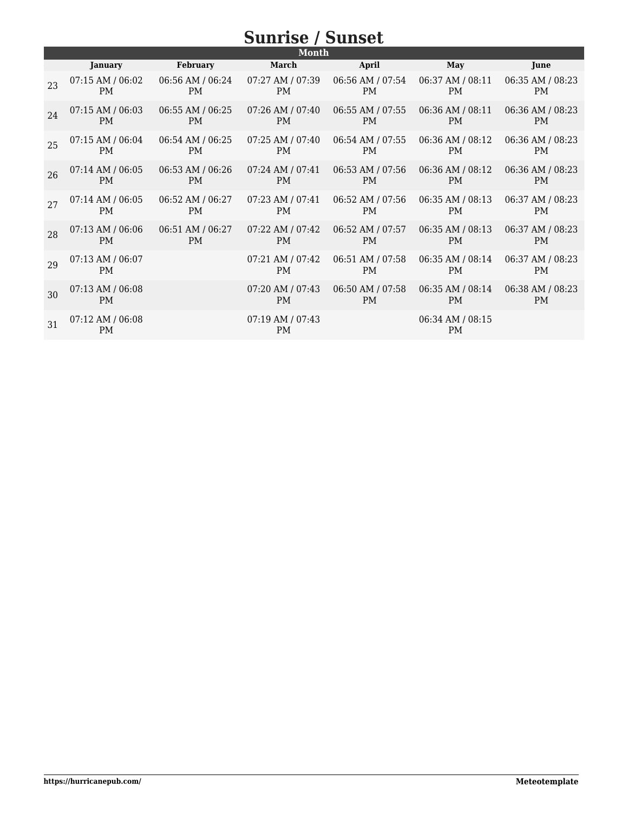| Month |                                   |                  |                                   |                               |                               |                               |
|-------|-----------------------------------|------------------|-----------------------------------|-------------------------------|-------------------------------|-------------------------------|
|       | <b>January</b>                    | <b>February</b>  | March                             | April                         | May                           | June                          |
| 23    | $07:15$ AM / $06:02$              | 06:56 AM / 06:24 | $07:27$ AM / $07:39$              | 06:56 AM / 07:54              | 06:37 AM / 08:11              | 06:35 AM / 08:23              |
|       | <b>PM</b>                         | <b>PM</b>        | <b>PM</b>                         | <b>PM</b>                     | <b>PM</b>                     | <b>PM</b>                     |
| 24    | $07:15$ AM / $06:03$              | 06:55 AM / 06:25 | $07:26$ AM / $07:40$              | 06:55 AM / 07:55              | 06:36 AM / 08:11              | 06:36 AM / 08:23              |
|       | <b>PM</b>                         | <b>PM</b>        | <b>PM</b>                         | <b>PM</b>                     | <b>PM</b>                     | <b>PM</b>                     |
| 25    | $07:15$ AM / $06:04$              | 06:54 AM / 06:25 | 07:25 AM / 07:40                  | 06:54 AM / 07:55              | 06:36 AM / 08:12              | 06:36 AM / 08:23              |
|       | <b>PM</b>                         | <b>PM</b>        | <b>PM</b>                         | <b>PM</b>                     | <b>PM</b>                     | <b>PM</b>                     |
| 26    | $07:14$ AM / $06:05$              | 06:53 AM / 06:26 | 07:24 AM / 07:41                  | 06:53 AM / 07:56              | 06:36 AM / 08:12              | 06:36 AM / 08:23              |
|       | <b>PM</b>                         | <b>PM</b>        | <b>PM</b>                         | <b>PM</b>                     | <b>PM</b>                     | <b>PM</b>                     |
| 2.7   | $07:14$ AM / $06:05$              | 06:52 AM / 06:27 | 07:23 AM / 07:41                  | 06:52 AM / 07:56              | 06:35 AM / 08:13              | 06:37 AM / 08:23              |
|       | <b>PM</b>                         | PM               | <b>PM</b>                         | <b>PM</b>                     | PM                            | <b>PM</b>                     |
| 28    | 07:13 AM / 06:06                  | 06:51 AM / 06:27 | 07:22 AM / 07:42                  | 06:52 AM / 07:57              | 06:35 AM / 08:13              | 06:37 AM / 08:23              |
|       | <b>PM</b>                         | <b>PM</b>        | <b>PM</b>                         | <b>PM</b>                     | <b>PM</b>                     | <b>PM</b>                     |
| 29    | $07:13$ AM / $06:07$<br>PM        |                  | $07:21$ AM / $07:42$<br><b>PM</b> | 06:51 AM / 07:58<br><b>PM</b> | 06:35 AM / 08:14<br><b>PM</b> | 06:37 AM / 08:23<br><b>PM</b> |
| 30    | 07:13 AM / 06:08<br>PM            |                  | 07:20 AM / 07:43<br><b>PM</b>     | 06:50 AM / 07:58<br>PM        | 06:35 AM / 08:14<br><b>PM</b> | 06:38 AM / 08:23<br><b>PM</b> |
| 31    | $07:12$ AM / $06:08$<br><b>PM</b> |                  | 07:19 AM / 07:43<br><b>PM</b>     |                               | 06:34 AM / 08:15<br><b>PM</b> |                               |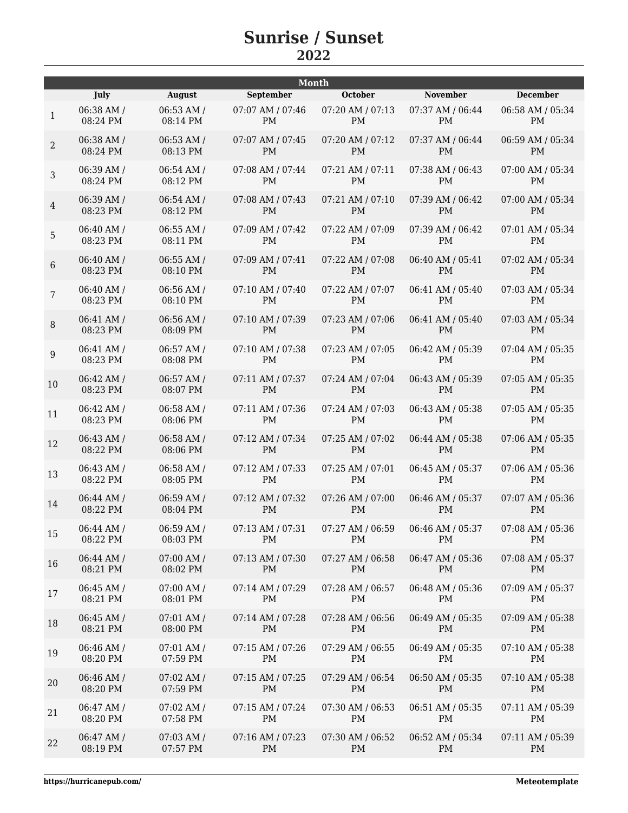|                |            |                | <b>Month</b>     |                  |                  |                  |
|----------------|------------|----------------|------------------|------------------|------------------|------------------|
|                | July       | <b>August</b>  | September        | October          | <b>November</b>  | <b>December</b>  |
| $\mathbf{1}$   | 06:38 AM / | 06:53 AM /     | 07:07 AM / 07:46 | 07:20 AM / 07:13 | 07:37 AM / 06:44 | 06:58 AM / 05:34 |
|                | 08:24 PM   | 08:14 PM       | PM               | PM               | PM               | PM               |
| $\overline{2}$ | 06:38 AM / | 06:53 AM /     | 07:07 AM / 07:45 | 07:20 AM / 07:12 | 07:37 AM / 06:44 | 06:59 AM / 05:34 |
|                | 08:24 PM   | 08:13 PM       | <b>PM</b>        | <b>PM</b>        | <b>PM</b>        | <b>PM</b>        |
| 3              | 06:39 AM / | 06:54 AM /     | 07:08 AM / 07:44 | 07:21 AM / 07:11 | 07:38 AM / 06:43 | 07:00 AM / 05:34 |
|                | 08:24 PM   | 08:12 PM       | PM               | <b>PM</b>        | <b>PM</b>        | <b>PM</b>        |
| $\overline{4}$ | 06:39 AM / | 06:54 AM /     | 07:08 AM / 07:43 | 07:21 AM / 07:10 | 07:39 AM / 06:42 | 07:00 AM / 05:34 |
|                | 08:23 PM   | 08:12 PM       | <b>PM</b>        | <b>PM</b>        | <b>PM</b>        | <b>PM</b>        |
| 5              | 06:40 AM / | 06:55 AM /     | 07:09 AM / 07:42 | 07:22 AM / 07:09 | 07:39 AM / 06:42 | 07:01 AM / 05:34 |
|                | 08:23 PM   | 08:11 PM       | <b>PM</b>        | <b>PM</b>        | PM               | PM               |
| 6              | 06:40 AM / | 06:55 AM /     | 07:09 AM / 07:41 | 07:22 AM / 07:08 | 06:40 AM / 05:41 | 07:02 AM / 05:34 |
|                | 08:23 PM   | 08:10 PM       | <b>PM</b>        | PM               | <b>PM</b>        | <b>PM</b>        |
| $\overline{7}$ | 06:40 AM / | 06:56 AM /     | 07:10 AM / 07:40 | 07:22 AM / 07:07 | 06:41 AM / 05:40 | 07:03 AM / 05:34 |
|                | 08:23 PM   | 08:10 PM       | <b>PM</b>        | PM               | PM               | PM               |
| $\, 8$         | 06:41 AM / | 06:56 AM /     | 07:10 AM / 07:39 | 07:23 AM / 07:06 | 06:41 AM / 05:40 | 07:03 AM / 05:34 |
|                | 08:23 PM   | 08:09 PM       | <b>PM</b>        | <b>PM</b>        | <b>PM</b>        | <b>PM</b>        |
| 9              | 06:41 AM / | 06:57 AM /     | 07:10 AM / 07:38 | 07:23 AM / 07:05 | 06:42 AM / 05:39 | 07:04 AM / 05:35 |
|                | 08:23 PM   | 08:08 PM       | <b>PM</b>        | <b>PM</b>        | <b>PM</b>        | <b>PM</b>        |
| 10             | 06:42 AM / | 06:57 AM /     | 07:11 AM / 07:37 | 07:24 AM / 07:04 | 06:43 AM / 05:39 | 07:05 AM / 05:35 |
|                | 08:23 PM   | 08:07 PM       | <b>PM</b>        | <b>PM</b>        | <b>PM</b>        | <b>PM</b>        |
| 11             | 06:42 AM / | 06:58 AM /     | 07:11 AM / 07:36 | 07:24 AM / 07:03 | 06:43 AM / 05:38 | 07:05 AM / 05:35 |
|                | 08:23 PM   | 08:06 PM       | <b>PM</b>        | <b>PM</b>        | <b>PM</b>        | <b>PM</b>        |
| 12             | 06:43 AM / | 06:58 AM /     | 07:12 AM / 07:34 | 07:25 AM / 07:02 | 06:44 AM / 05:38 | 07:06 AM / 05:35 |
|                | 08:22 PM   | 08:06 PM       | <b>PM</b>        | PM               | PM               | PM               |
| 13             | 06:43 AM / | 06:58 AM /     | 07:12 AM / 07:33 | 07:25 AM / 07:01 | 06:45 AM / 05:37 | 07:06 AM / 05:36 |
|                | 08:22 PM   | 08:05 PM       | PM               | PM               | PM               | <b>PM</b>        |
| 14             | 06:44 AM / | 06:59 AM /     | 07:12 AM / 07:32 | 07:26 AM / 07:00 | 06:46 AM / 05:37 | 07:07 AM / 05:36 |
|                | 08:22 PM   | 08:04 PM       | <b>PM</b>        | <b>PM</b>        | <b>PM</b>        | <b>PM</b>        |
| 15             | 06:44 AM / | 06:59 AM /     | 07:13 AM / 07:31 | 07:27 AM / 06:59 | 06:46 AM / 05:37 | 07:08 AM / 05:36 |
|                | 08:22 PM   | 08:03 PM       | PM               | PM               | PM               | PM               |
| 16             | 06:44 AM / | 07:00 AM /     | 07:13 AM / 07:30 | 07:27 AM / 06:58 | 06:47 AM / 05:36 | 07:08 AM / 05:37 |
|                | 08:21 PM   | 08:02 PM       | <b>PM</b>        | PM               | <b>PM</b>        | <b>PM</b>        |
| 17             | 06:45 AM / | $07:00$ AM $/$ | 07:14 AM / 07:29 | 07:28 AM / 06:57 | 06:48 AM / 05:36 | 07:09 AM / 05:37 |
|                | 08:21 PM   | 08:01 PM       | PM               | PM               | PM               | PM               |
| 18             | 06:45 AM / | $07:01$ AM /   | 07:14 AM / 07:28 | 07:28 AM / 06:56 | 06:49 AM / 05:35 | 07:09 AM / 05:38 |
|                | 08:21 PM   | 08:00 PM       | PM               | PM               | PM               | PM               |
| 19             | 06:46 AM / | 07:01 AM /     | 07:15 AM / 07:26 | 07:29 AM / 06:55 | 06:49 AM / 05:35 | 07:10 AM / 05:38 |
|                | 08:20 PM   | 07:59 PM       | PM               | PM               | PM               | PM               |
| 20             | 06:46 AM / | 07:02 AM /     | 07:15 AM / 07:25 | 07:29 AM / 06:54 | 06:50 AM / 05:35 | 07:10 AM / 05:38 |
|                | 08:20 PM   | 07:59 PM       | PM               | PM               | PM               | PM               |
| 21             | 06:47 AM / | 07:02 AM /     | 07:15 AM / 07:24 | 07:30 AM / 06:53 | 06:51 AM / 05:35 | 07:11 AM / 05:39 |
|                | 08:20 PM   | 07:58 PM       | PM               | PM               | PM               | PM               |
| 22             | 06:47 AM / | 07:03 AM /     | 07:16 AM / 07:23 | 07:30 AM / 06:52 | 06:52 AM / 05:34 | 07:11 AM / 05:39 |
|                | 08:19 PM   | 07:57 PM       | PM               | PM               | <b>PM</b>        | PM               |
|                |            |                |                  |                  |                  |                  |